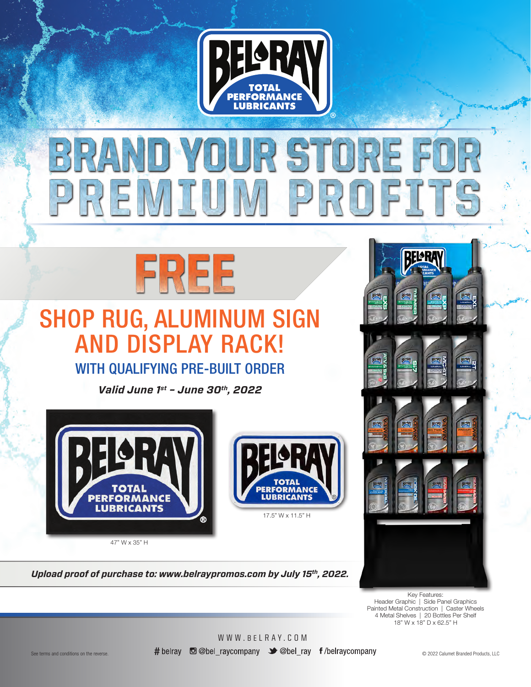

## BRAND Y ]UJ R STORE FOR UM PROFITS PREMI



# SHOP RUG, ALUMINUM SIGN AND DISPLAY RACK!

### WITH QUALIFYING PRE-BUILT ORDER

*Valid June 1st – June 30th, 2022*



*Upload proof of purchase to: www.belraypromos.com by July 15th, 2022.*



Key Features: Header Graphic | Side Panel Graphics Painted Metal Construction | Caster Wheels 4 Metal Shelves | 20 Bottles Per Shelf 18" W x 18" D x 62.5" H

WWW.BELRAY.COM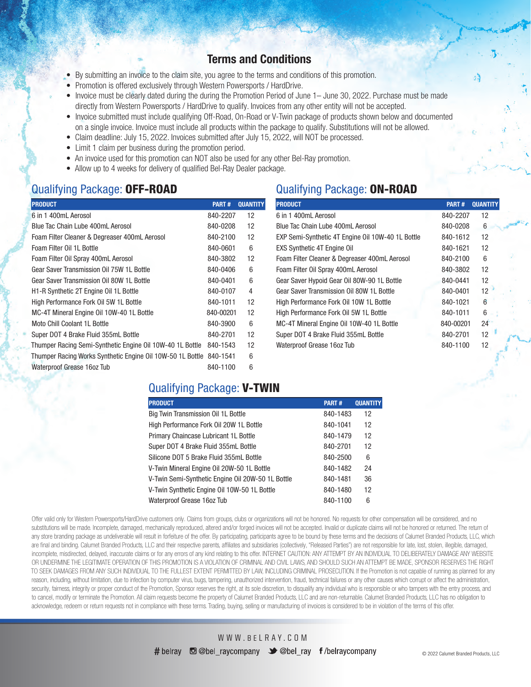### Terms and Conditions

- By submitting an invoice to the claim site, you agree to the terms and conditions of this promotion.
- Promotion is offered exclusively through Western Powersports / HardDrive.
- Invoice must be clearly dated during the during the Promotion Period of June 1– June 30, 2022. Purchase must be made directly from Western Powersports / HardDrive to qualify. Invoices from any other entity will not be accepted.
- Invoice submitted must include qualifying Off-Road, On-Road or V-Twin package of products shown below and documented on a single invoice. Invoice must include all products within the package to qualify. Substitutions will not be allowed.
- Claim deadline: July 15, 2022. Invoices submitted after July 15, 2022, will NOT be processed.
- Limit 1 claim per business during the promotion period.
- An invoice used for this promotion can NOT also be used for any other Bel-Ray promotion.
- Allow up to 4 weeks for delivery of qualified Bel-Ray Dealer package.

### Qualifying Package: OFF-ROAD

| <b>PRODUCT</b>                                             | PART#     | <b>QUANTITY</b> |
|------------------------------------------------------------|-----------|-----------------|
| 6 in 1 400mL Aerosol                                       | 840-2207  | 12              |
| Blue Tac Chain Lube 400mL Aerosol                          | 840-0208  | 12              |
| Foam Filter Cleaner & Degreaser 400mL Aerosol              | 840-2100  | 12              |
| Foam Filter Oil 1L Bottle                                  | 840-0601  | 6               |
| Foam Filter Oil Spray 400mL Aerosol                        | 840-3802  | 12              |
| Gear Saver Transmission Oil 75W 1L Bottle                  | 840-0406  | 6               |
| Gear Saver Transmission Oil 80W 1L Bottle                  | 840-0401  | 6               |
| H1-R Synthetic 2T Engine Oil 1L Bottle                     | 840-0107  | 4               |
| High Performance Fork Oil 5W 1L Bottle                     | 840-1011  | 12              |
| MC-4T Mineral Engine Oil 10W-40 1L Bottle                  | 840-00201 | 12              |
| Moto Chill Coolant 11 Bottle                               | 840-3900  | 6               |
| Super DOT 4 Brake Fluid 355mL Bottle                       | 840-2701  | 12              |
| Thumper Racing Semi-Synthetic Engine Oil 10W-40 1L Bottle  | 840-1543  | 12              |
| Thumper Racing Works Synthetic Engine Oil 10W-50 1L Bottle | 840-1541  | 6               |
| Waterproof Grease 16oz Tub                                 | 840-1100  | 6               |

### Qualifying Package: ON-ROAD

| <b>PRODUCT</b>                                    | PART#     | <b>QUANTITY</b> |
|---------------------------------------------------|-----------|-----------------|
| 6 in 1 400mL Aerosol                              | 840-2207  | 12              |
| Blue Tac Chain Lube 400mL Aerosol                 | 840-0208  | 6               |
| EXP Semi-Synthetic 4T Engine Oil 10W-40 1L Bottle | 840-1612  | 12              |
| <b>EXS Synthetic 4T Engine Oil</b>                | 840-1621  | 12              |
| Foam Filter Cleaner & Degreaser 400mL Aerosol     | 840-2100  | 6               |
| Foam Filter Oil Spray 400mL Aerosol               | 840-3802  | 12              |
| Gear Saver Hypoid Gear Oil 80W-90 1L Bottle       | 840-0441  | 12              |
| Gear Saver Transmission Oil 80W 1L Bottle         | 840-0401  | 12              |
| High Performance Fork Oil 10W 1L Bottle           | 840-1021  | 6               |
| High Performance Fork Oil 5W 1L Bottle            | 840-1011  | 6               |
| MC-4T Mineral Engine Oil 10W-40 1L Bottle         | 840-00201 | 24              |
| Super DOT 4 Brake Fluid 355mL Bottle              | 840-2701  | 12              |
| Waterproof Grease 16oz Tub                        | 840-1100  | 12              |

### Qualifying Package: V-TWIN

| <b>PRODUCT</b>                                    | PART#    | <b>QUANTITY</b> |
|---------------------------------------------------|----------|-----------------|
| Big Twin Transmission Oil 1L Bottle               | 840-1483 | 12              |
| High Performance Fork Oil 20W 1L Bottle           | 840-1041 | 12              |
| Primary Chaincase Lubricant 1L Bottle             | 840-1479 | 12              |
| Super DOT 4 Brake Fluid 355mL Bottle              | 840-2701 | 12              |
| Silicone DOT 5 Brake Fluid 355mL Bottle           | 840-2500 | 6               |
| V-Twin Mineral Engine Oil 20W-50 1L Bottle        | 840-1482 | 24              |
| V-Twin Semi-Synthetic Engine Oil 20W-50 1L Bottle | 840-1481 | 36              |
| V-Twin Synthetic Engine Oil 10W-50 1L Bottle      | 840-1480 | 12              |
| Waterproof Grease 16oz Tub                        | 840-1100 | 6               |

Offer valid only for Western Powersports/HardDrive customers only. Claims from groups, clubs or organizations will not be honored. No requests for other compensation will be considered, and no substitutions will be made. Incomplete, damaged, mechanically reproduced, altered and/or forged invoices will not be accepted. Invalid or duplicate claims will not be honored or returned. The return of any store branding package as undeliverable will result in forfeiture of the offer. By participating, participants agree to be bound by these terms and the decisions of Calumet Branded Products, LLC, which are final and binding. Calumet Branded Products, LLC and their respective parents, affiliates and subsidiaries (collectively, "Released Parties") are not responsible for late, lost, stolen, illegible, damaged, incomplete, misdirected, delayed, inaccurate claims or for any errors of any kind relating to this offer. INTERNET CAUTION: ANY ATTEMPT BY AN INDIVIDUAL TO DELIBERATELY DAMAGE ANY WEBSITE OR UNDERMINE THE LEGITIMATE OPERATION OF THIS PROMOTION IS A VIOLATION OF CRIMINAL AND CIVIL LAWS, AND SHOULD SUCH AN ATTEMPT BE MADE, SPONSOR RESERVES THE RIGHT TO SEEK DAMAGES FROM ANY SUCH INDIVIDUAL TO THE FULLEST EXTENT PERMITTED BY LAW, INCLUDING CRIMINAL PROSECUTION. If the Promotion is not capable of running as planned for any reason, including, without limitation, due to infection by computer virus, bugs, tampering, unauthorized intervention, fraud, technical failures or any other causes which corrupt or affect the administration, security, fairness, integrity or proper conduct of the Promotion, Sponsor reserves the right, at its sole discretion, to disqualify any individual who is responsible or who tampers with the entry process, and to cancel, modify or terminate the Promotion. All claim requests become the property of Calumet Branded Products, LLC and are non-returnable. Calumet Branded Products, LLC has no obligation to acknowledge, redeem or return requests not in compliance with these terms. Trading, buying, selling or manufacturing of invoices is considered to be in violation of the terms of this offer.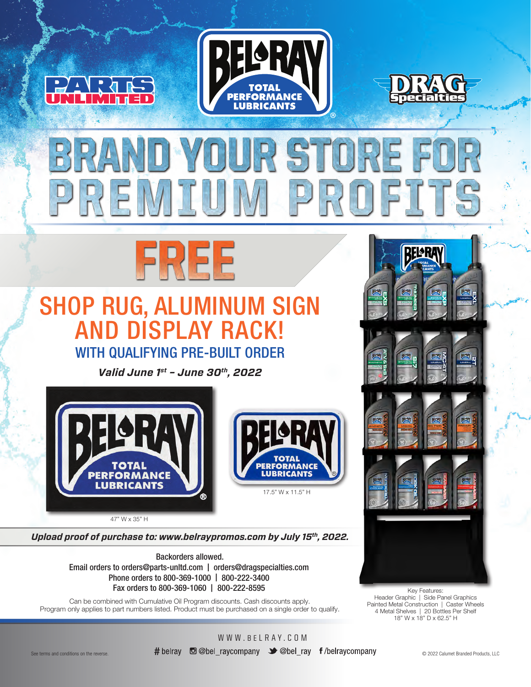



# **VD YOUR STORE F** PREMIUM PROFI



## SHOP RUG, ALUMINUM SIGN AND DISPLAY RACK! WITH QUALIFYING PRE-BUILT ORDER

*Valid June 1st – June 30th, 2022*



47" W x 35" H

*Upload proof of purchase to: www.belraypromos.com by July 15th, 2022.*

Backorders allowed. Email orders to orders@parts-unltd.com | orders@dragspecialties.com Phone orders to 800-369-1000 | 800-222-3400 Fax orders to 800-369-1060 | 800-222-8595

Can be combined with Cumulative Oil Program discounts. Cash discounts apply. Program only applies to part numbers listed. Product must be purchased on a single order to qualify.



Header Graphic | Side Panel Graphics Painted Metal Construction | Caster Wheels 4 Metal Shelves | 20 Bottles Per Shelf 18" W x 18" D x 62.5" H

WWW.BELRAY.COM See terms and conditions on the reverse. © 2022 Calumet Branded Products, LLC

17.5" W x 11.5" H

**ERFORMANCE** 

**LUBRICANTS**